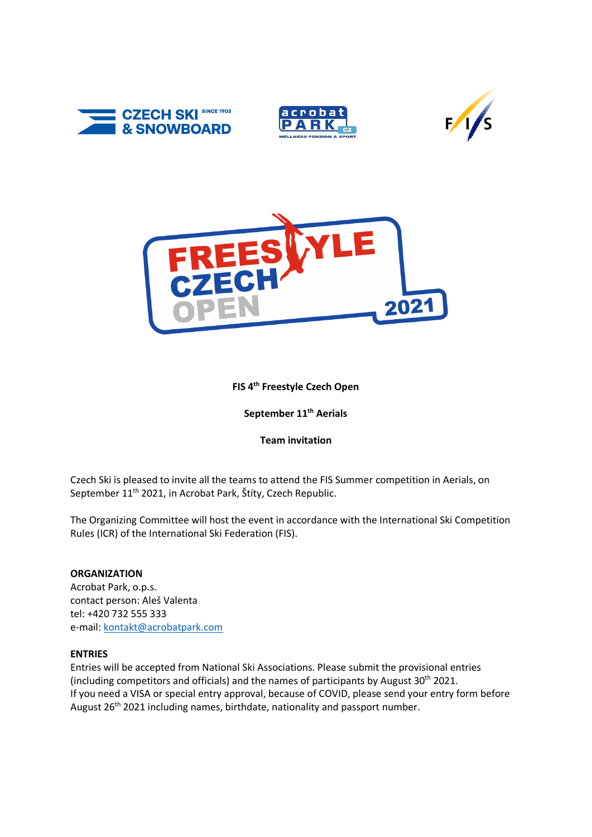







# **FIS 4 th Freestyle Czech Open**

**September 11 th Aerials**

## **Team invitation**

Czech Ski is pleased to invite all the teams to attend the FIS Summer competition in Aerials, on September 11<sup>th</sup> 2021, in Acrobat Park, Štíty, Czech Republic.

The Organizing Committee will host the event in accordance with the International Ski Competition Rules (ICR) of the International Ski Federation (FIS).

## **ORGANIZATION**

Acrobat Park, o.p.s. contact person: Aleš Valenta tel: +420 732 555 333 e-mail: [kontakt@acrobatpark.com](mailto:kontakt@acrobatpark.com)

## **ENTRIES**

Entries will be accepted from National Ski Associations. Please submit the provisional entries (including competitors and officials) and the names of participants by August  $30<sup>th</sup>$  2021. If you need a VISA or special entry approval, because of COVID, please send your entry form before August 26<sup>th</sup> 2021 including names, birthdate, nationality and passport number.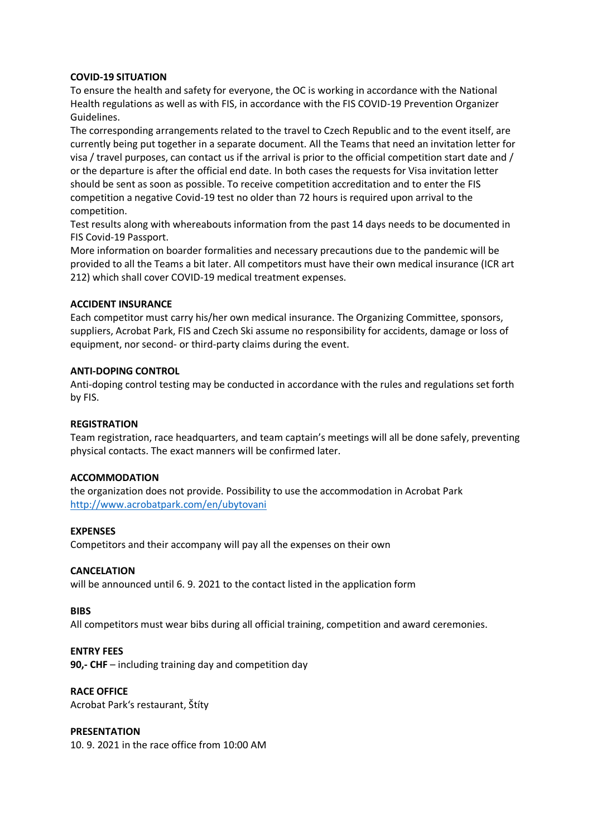## **COVID-19 SITUATION**

To ensure the health and safety for everyone, the OC is working in accordance with the National Health regulations as well as with FIS, in accordance with the FIS COVID-19 Prevention Organizer Guidelines.

The corresponding arrangements related to the travel to Czech Republic and to the event itself, are currently being put together in a separate document. All the Teams that need an invitation letter for visa / travel purposes, can contact us if the arrival is prior to the official competition start date and / or the departure is after the official end date. In both cases the requests for Visa invitation letter should be sent as soon as possible. To receive competition accreditation and to enter the FIS competition a negative Covid-19 test no older than 72 hours is required upon arrival to the competition.

Test results along with whereabouts information from the past 14 days needs to be documented in FIS Covid-19 Passport.

More information on boarder formalities and necessary precautions due to the pandemic will be provided to all the Teams a bit later. All competitors must have their own medical insurance (ICR art 212) which shall cover COVID-19 medical treatment expenses.

### **ACCIDENT INSURANCE**

Each competitor must carry his/her own medical insurance. The Organizing Committee, sponsors, suppliers, Acrobat Park, FIS and Czech Ski assume no responsibility for accidents, damage or loss of equipment, nor second- or third-party claims during the event.

### **ANTI-DOPING CONTROL**

Anti-doping control testing may be conducted in accordance with the rules and regulations set forth by FIS.

#### **REGISTRATION**

Team registration, race headquarters, and team captain's meetings will all be done safely, preventing physical contacts. The exact manners will be confirmed later.

#### **ACCOMMODATION**

the organization does not provide. Possibility to use the accommodation in Acrobat Park <http://www.acrobatpark.com/en/ubytovani>

#### **EXPENSES**

Competitors and their accompany will pay all the expenses on their own

#### **CANCELATION**

will be announced until 6. 9. 2021 to the contact listed in the application form

#### **BIBS**

All competitors must wear bibs during all official training, competition and award ceremonies.

#### **ENTRY FEES**

**90,- CHF** – including training day and competition day

# **RACE OFFICE**

Acrobat Park's restaurant, Štíty

## **PRESENTATION**

10. 9. 2021 in the race office from 10:00 AM